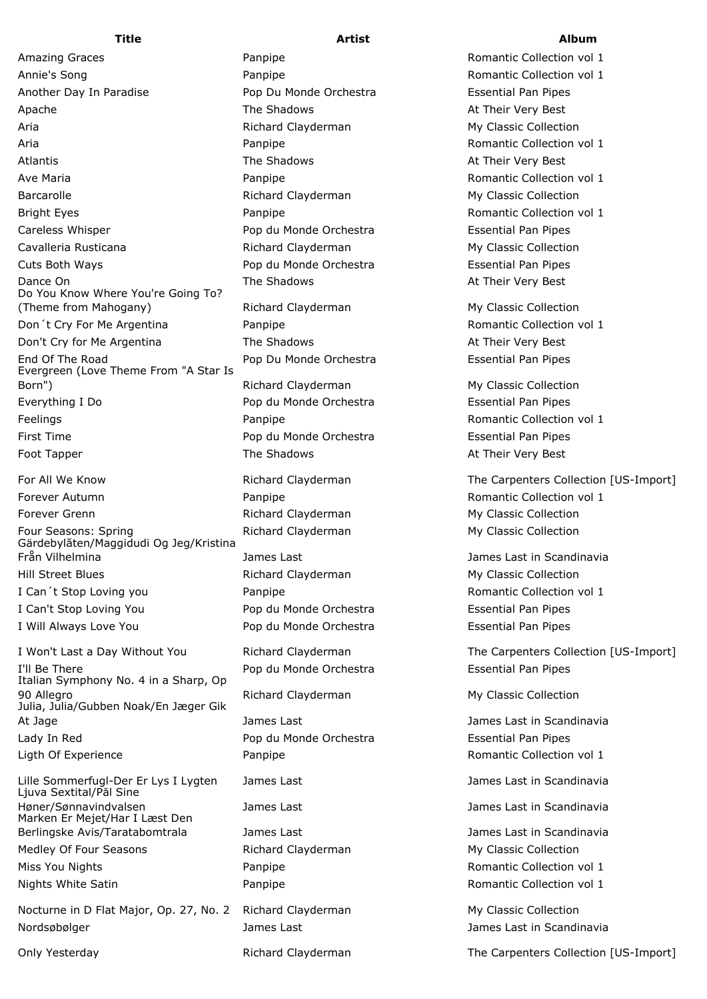Annie's Song **Romantic Collection vol** 1 **Panpipe** Romantic Collection vol 1 Another Day In Paradise Pop Du Monde Orchestra Essential Pan Pipes Apache **The Shadows** The Shadows At Their Very Best Aria **Richard Clayderman** My Classic Collection Aria **Aria Romantic Collection vol 1** Panpipe **Romantic Collection vol 1** Atlantis **Atlantis The Shadows Construction Construction Construction Construction Construction At Their Very Best** Ave Maria **Romantic Collection vol 1 Panpipe Romantic Collection vol 1 Romantic Collection vol 1** Barcarolle **Richard Clayderman** My Classic Collection Bright Eyes **Example 2018** Panpipe **Romantic Collection vol 1** 2019 1 Careless Whisper Pop du Monde Orchestra Essential Pan Pipes Cavalleria Rusticana 
and the Richard Clayderman My Classic Collection Cuts Both Ways Pop du Monde Orchestra Essential Pan Pipes Dance On The Shadows The Shadows At Their Very Best Do You Know Where You're Going To? (Theme from Mahogany) The Richard Clayderman My Classic Collection Don't Cry For Me Argentina **Panpipe** Romantic Collection vol 1 Don't Cry for Me Argentina The Shadows The Shadows At Their Very Best End Of The Road Pop Du Monde Orchestra Essential Pan Pipes Evergreen (Love Theme From "A Star Is Born") The Common School (Richard Clayderman My Classic Collection My Classic Collection Everything I Do Pop du Monde Orchestra Essential Pan Pipes Feelings **Panpipe** Panpipe **Romantic Collection vol 1 Romantic Collection vol 1** First Time Pop du Monde Orchestra Essential Pan Pipes Foot Tapper The Shadows The Shadows At Their Very Best For All We Know The Carpenters Collection [US-Import] The Carpenters Collection [US-Import] Forever Autumn **Example 2018** Panpipe **Romantic Collection vol 1** 2019 1 Forever Grenn **Exercise State Clayderman** My Classic Collection

Four Seasons: Spring The Richard Clayderman My Classic Collection Gärdebylåten/Maggidudi Og Jeg/Kristina Från Vilhelmina James Last James Last in Scandinavia Hill Street Blues **Music Collection** Richard Clayderman My Classic Collection I Can't Stop Loving you **Panpipe** Romantic Collection vol 1 I Can't Stop Loving You Pop du Monde Orchestra Essential Pan Pipes

I'll Be There Pop du Monde Orchestra Essential Pan Pipes Italian Symphony No. 4 in a Sharp, Op 90 Allegro **Allegro Richard Clayderman** My Classic Collection Julia, Julia/Gubben Noak/En Jæger Gik At Jage **James Last Communist Communist Communist** James Last in Scandinavia Lady In Red Pop du Monde Orchestra Essential Pan Pipes

Lille Sommerfugl-Der Er Lys I Lygten James Last James Last in Scandinavia Ljuva Sextital/Pål Sine Høner/Sønnavindvalsen James Last James Last in Scandinavia Marken Er Mejet/Har I Læst Den Berlingske Avis/Taratabomtrala James Last James Last in Scandinavia Medley Of Four Seasons **Richard Clayderman** My Classic Collection Miss You Nights **Nights Panpipe** Romantic Collection vol 1 Nights White Satin **Romantic Collection vol** 1 **Panpipe** Romantic Collection vol 1

Nocturne in D Flat Major, Op. 27, No. 2 Richard Clayderman My Classic Collection Nordsøbølger James Last James Last in Scandinavia

I Will Always Love You Pop du Monde Orchestra Essential Pan Pipes

## **Title Artist Album**

Amazing Graces **Amazing Graces** Panpipe **Romantic Collection vol 1** 

I Won't Last a Day Without You **Richard Clayderman** The Carpenters Collection [US-Import]

Ligth Of Experience **Romantic Collection vol** 1

Only Yesterday **Richard Clayderman** The Carpenters Collection [US-Import]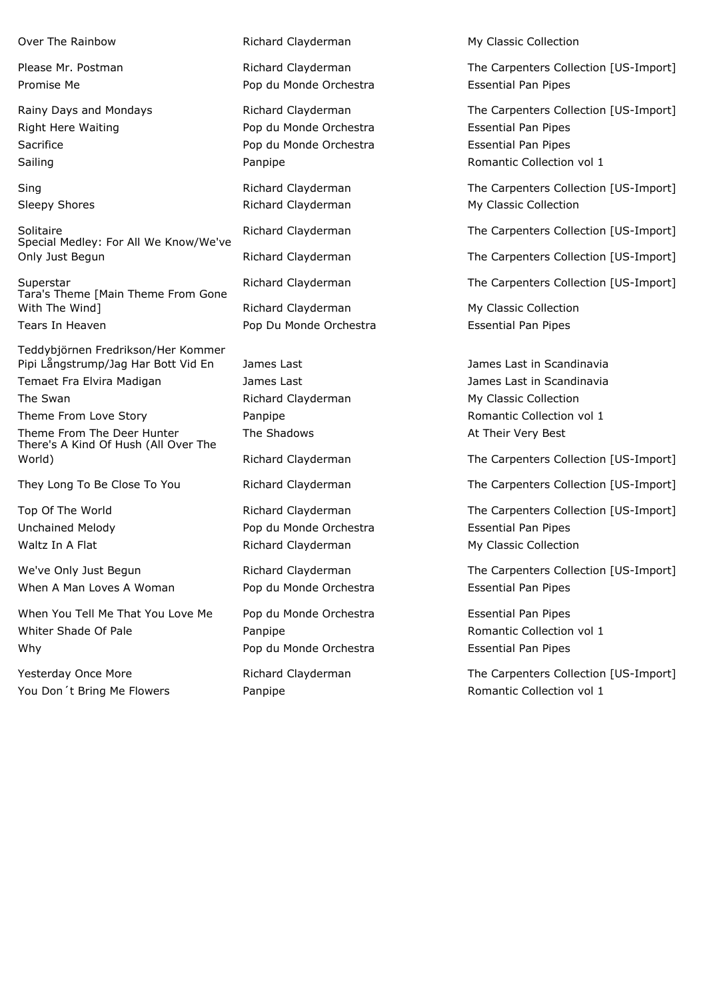Special Medley: For All We Know/We've Only Just Begun Richard Clayderman The Carpenters Collection [US-Import]

Tara's Theme [Main Theme From Gone With The Wind] The Wind Clayderman My Classic Collection Tears In Heaven Pop Du Monde Orchestra Essential Pan Pipes

Teddybjörnen Fredrikson/Her Kommer Pipi Långstrump/Jag Har Bott Vid En James Last James Last James Last in Scandinavia

Theme From The Deer Hunter The Shadows The Shadows At Their Very Best There's A Kind Of Hush (All Over The

When A Man Loves A Woman Pop du Monde Orchestra Funchistan Essential Pan Pipes

When You Tell Me That You Love Me Pop du Monde Orchestra Funder Resential Pan Pipes Whiter Shade Of Pale **Panpipe Romantic Collection vol 1** Number 2014 2014 2015 2016 Why Why **Pop du Monde Orchestra** Essential Pan Pipes

You Don't Bring Me Flowers **Panpipe Romantic Collection vol 1 Romantic Collection vol 1** 

Promise Me **Pop du Monde Orchestra** Essential Pan Pipes

Right Here Waiting Pop du Monde Orchestra Essential Pan Pipes Sacrifice **Election Pop du Monde Orchestra** Essential Pan Pipes

Unchained Melody Pop du Monde Orchestra Essential Pan Pipes Waltz In A Flat **Music Collection** Richard Clayderman My Classic Collection

Over The Rainbow **Collection** Richard Clayderman My Classic Collection

Please Mr. Postman **Richard Clayderman** The Carpenters Collection [US-Import]

Rainy Days and Mondays **Richard Clayderman** The Carpenters Collection [US-Import] Sailing **Collection Collection Collection Collection Collection Collection vol 1** 

Sing Sing Richard Clayderman The Carpenters Collection [US-Import] Sleepy Shores **Richard Clayderman** My Classic Collection

Solitaire **Exercise 2 Collection Clayderman** The Carpenters Collection [US-Import]

Superstar **Richard Clayderman** The Carpenters Collection [US-Import]

Temaet Fra Elvira Madigan James Last James Last in Scandinavia The Swan **Richard Clayderman** My Classic Collection Classic Collection Theme From Love Story **Romantic Collection vol** 1

World) **Richard Clayderman** The Carpenters Collection [US-Import]

They Long To Be Close To You **Richard Clayderman** The Carpenters Collection [US-Import]

Top Of The World **The World Clayderman** The Carpenters Collection [US-Import]

We've Only Just Begun **Richard Clayderman** The Carpenters Collection [US-Import]

Yesterday Once More **Note 20 According Clayderman** The Carpenters Collection [US-Import]